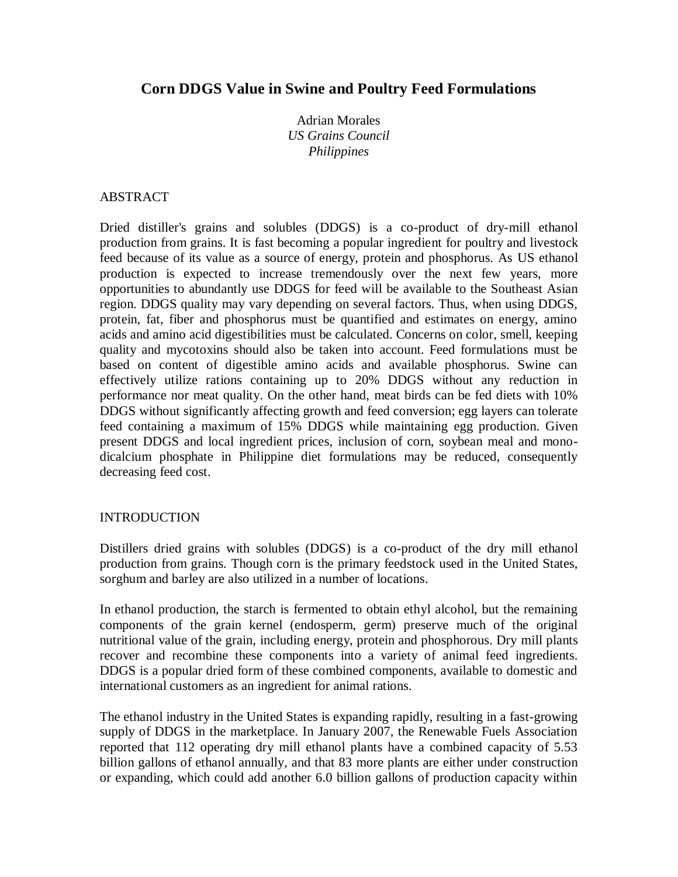# **Corn DDGS Value in Swine and Poultry Feed Formulations**

Adrian Morales *US Grains Council Philippines*

## ABSTRACT

Dried distiller's grains and solubles (DDGS) is a co-product of dry-mill ethanol production from grains. It is fast becoming a popular ingredient for poultry and livestock feed because of its value as a source of energy, protein and phosphorus. As US ethanol production is expected to increase tremendously over the next few years, more opportunities to abundantly use DDGS for feed will be available to the Southeast Asian region. DDGS quality may vary depending on several factors. Thus, when using DDGS, protein, fat, fiber and phosphorus must be quantified and estimates on energy, amino acids and amino acid digestibilities must be calculated. Concerns on color, smell, keeping quality and mycotoxins should also be taken into account. Feed formulations must be based on content of digestible amino acids and available phosphorus. Swine can effectively utilize rations containing up to 20% DDGS without any reduction in performance nor meat quality. On the other hand, meat birds can be fed diets with 10% DDGS without significantly affecting growth and feed conversion; egg layers can tolerate feed containing a maximum of 15% DDGS while maintaining egg production. Given present DDGS and local ingredient prices, inclusion of corn, soybean meal and monodicalcium phosphate in Philippine diet formulations may be reduced, consequently decreasing feed cost.

## INTRODUCTION

Distillers dried grains with solubles (DDGS) is a co-product of the dry mill ethanol production from grains. Though corn is the primary feedstock used in the United States, sorghum and barley are also utilized in a number of locations.

In ethanol production, the starch is fermented to obtain ethyl alcohol, but the remaining components of the grain kernel (endosperm, germ) preserve much of the original nutritional value of the grain, including energy, protein and phosphorous. Dry mill plants recover and recombine these components into a variety of animal feed ingredients. DDGS is a popular dried form of these combined components, available to domestic and international customers as an ingredient for animal rations.

The ethanol industry in the United States is expanding rapidly, resulting in a fast-growing supply of DDGS in the marketplace. In January 2007, the Renewable Fuels Association reported that 112 operating dry mill ethanol plants have a combined capacity of 5.53 billion gallons of ethanol annually, and that 83 more plants are either under construction or expanding, which could add another 6.0 billion gallons of production capacity within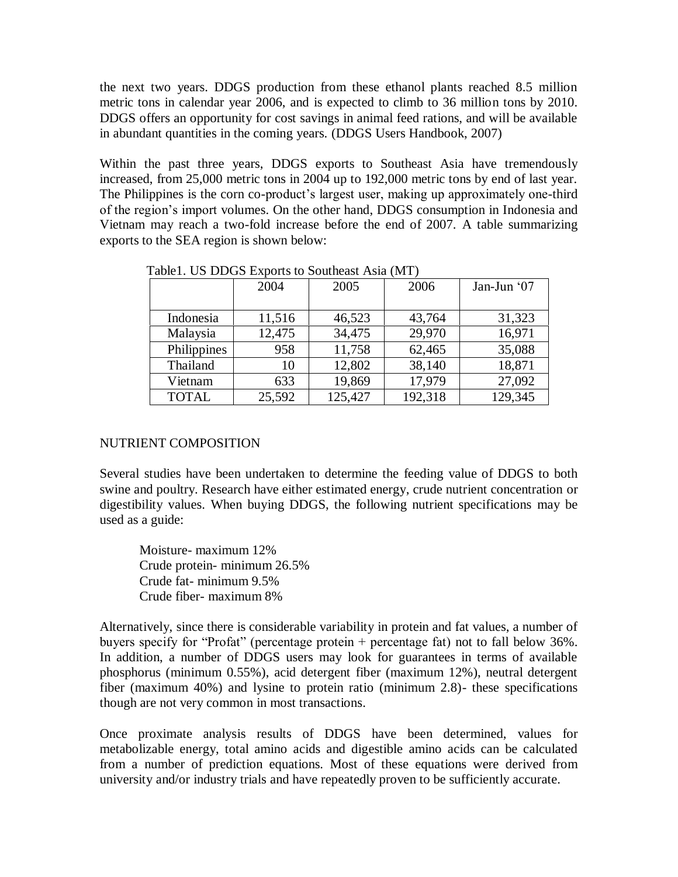the next two years. DDGS production from these ethanol plants reached 8.5 million metric tons in calendar year 2006, and is expected to climb to 36 million tons by 2010. DDGS offers an opportunity for cost savings in animal feed rations, and will be available in abundant quantities in the coming years. (DDGS Users Handbook, 2007)

Within the past three years, DDGS exports to Southeast Asia have tremendously increased, from 25,000 metric tons in 2004 up to 192,000 metric tons by end of last year. The Philippines is the corn co-product's largest user, making up approximately one-third of the region"s import volumes. On the other hand, DDGS consumption in Indonesia and Vietnam may reach a two-fold increase before the end of 2007. A table summarizing exports to the SEA region is shown below:

|              | 2004   | 2005    | 2006    | Jan-Jun '07 |
|--------------|--------|---------|---------|-------------|
|              |        |         |         |             |
| Indonesia    | 11,516 | 46,523  | 43,764  | 31,323      |
| Malaysia     | 12,475 | 34,475  | 29,970  | 16,971      |
| Philippines  | 958    | 11,758  | 62,465  | 35,088      |
| Thailand     | 10     | 12,802  | 38,140  | 18,871      |
| Vietnam      | 633    | 19,869  | 17,979  | 27,092      |
| <b>TOTAL</b> | 25,592 | 125,427 | 192,318 | 129,345     |

Table1. US DDGS Exports to Southeast Asia (MT)

## NUTRIENT COMPOSITION

Several studies have been undertaken to determine the feeding value of DDGS to both swine and poultry. Research have either estimated energy, crude nutrient concentration or digestibility values. When buying DDGS, the following nutrient specifications may be used as a guide:

Moisture- maximum 12% Crude protein- minimum 26.5% Crude fat- minimum 9.5% Crude fiber- maximum 8%

Alternatively, since there is considerable variability in protein and fat values, a number of buyers specify for "Profat" (percentage protein + percentage fat) not to fall below 36%. In addition, a number of DDGS users may look for guarantees in terms of available phosphorus (minimum 0.55%), acid detergent fiber (maximum 12%), neutral detergent fiber (maximum 40%) and lysine to protein ratio (minimum 2.8)- these specifications though are not very common in most transactions.

Once proximate analysis results of DDGS have been determined, values for metabolizable energy, total amino acids and digestible amino acids can be calculated from a number of prediction equations. Most of these equations were derived from university and/or industry trials and have repeatedly proven to be sufficiently accurate.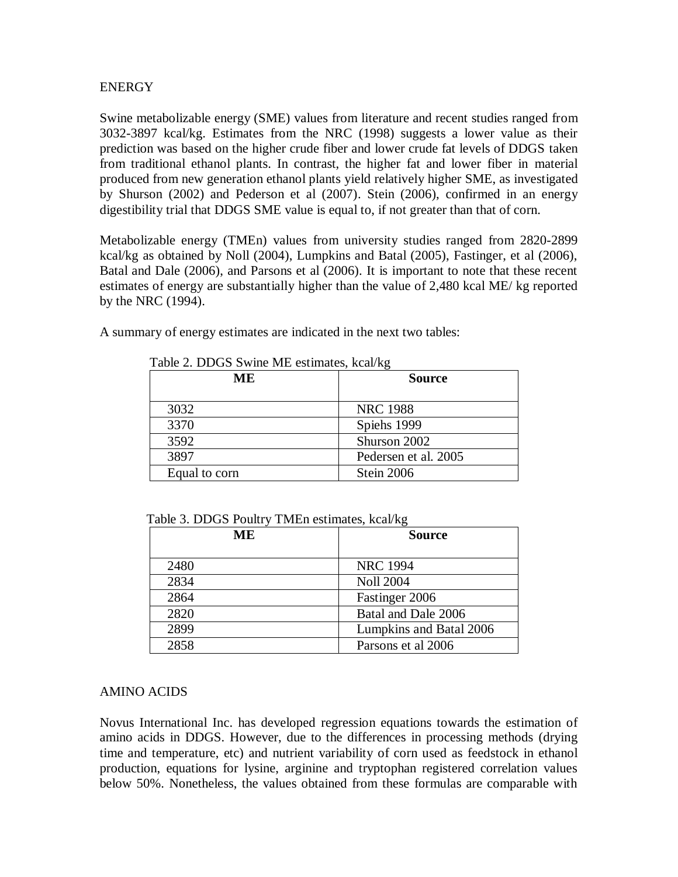#### **ENERGY**

Swine metabolizable energy (SME) values from literature and recent studies ranged from 3032-3897 kcal/kg. Estimates from the NRC (1998) suggests a lower value as their prediction was based on the higher crude fiber and lower crude fat levels of DDGS taken from traditional ethanol plants. In contrast, the higher fat and lower fiber in material produced from new generation ethanol plants yield relatively higher SME, as investigated by Shurson (2002) and Pederson et al (2007). Stein (2006), confirmed in an energy digestibility trial that DDGS SME value is equal to, if not greater than that of corn.

Metabolizable energy (TMEn) values from university studies ranged from 2820-2899 kcal/kg as obtained by Noll (2004), Lumpkins and Batal (2005), Fastinger, et al (2006), Batal and Dale (2006), and Parsons et al (2006). It is important to note that these recent estimates of energy are substantially higher than the value of 2,480 kcal ME/ kg reported by the NRC (1994).

A summary of energy estimates are indicated in the next two tables:

| ME.           | <b>Source</b>        |  |
|---------------|----------------------|--|
| 3032          | <b>NRC 1988</b>      |  |
| 3370          | Spiehs 1999          |  |
| 3592          | Shurson 2002         |  |
| 3897          | Pedersen et al. 2005 |  |
| Equal to corn | Stein 2006           |  |

Table 2. DDGS Swine ME estimates, kcal/kg

| ME   | <b>Source</b>           |  |
|------|-------------------------|--|
| 2480 | <b>NRC 1994</b>         |  |
| 2834 | <b>Noll 2004</b>        |  |
| 2864 | Fastinger 2006          |  |
| 2820 | Batal and Dale 2006     |  |
| 2899 | Lumpkins and Batal 2006 |  |
| 2858 | Parsons et al 2006      |  |

Table 3. DDGS Poultry TMEn estimates, kcal/kg

#### AMINO ACIDS

Novus International Inc. has developed regression equations towards the estimation of amino acids in DDGS. However, due to the differences in processing methods (drying time and temperature, etc) and nutrient variability of corn used as feedstock in ethanol production, equations for lysine, arginine and tryptophan registered correlation values below 50%. Nonetheless, the values obtained from these formulas are comparable with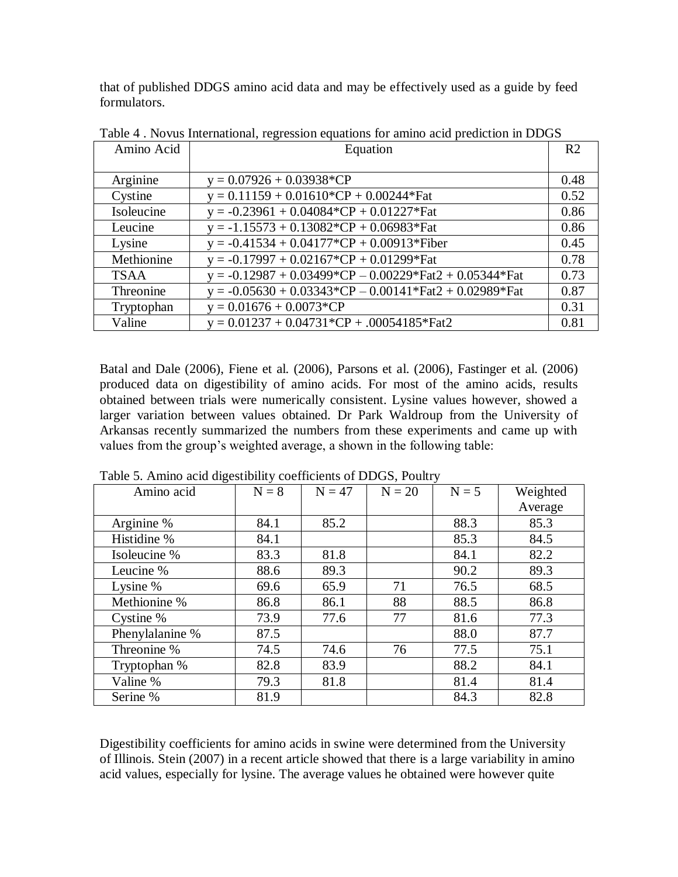that of published DDGS amino acid data and may be effectively used as a guide by feed formulators.

| Amino Acid  | Equation                                                                                          |      |  |
|-------------|---------------------------------------------------------------------------------------------------|------|--|
|             |                                                                                                   |      |  |
| Arginine    | $y = 0.07926 + 0.03938$ <sup>*</sup> CP                                                           | 0.48 |  |
| Cystine     | $y = 0.11159 + 0.01610*CP + 0.00244*Fat$                                                          | 0.52 |  |
| Isoleucine  | $y = -0.23961 + 0.04084*CP + 0.01227*Fat$                                                         | 0.86 |  |
| Leucine     | $y = -1.15573 + 0.13082$ <sup>*</sup> CP + 0.06983 <sup>*</sup> Fat                               | 0.86 |  |
| Lysine      | $y = -0.41534 + 0.04177 \cdot \text{CP} + 0.00913 \cdot \text{Fiber}$                             | 0.45 |  |
| Methionine  | $y = -0.17997 + 0.02167$ <sup>*</sup> CP + 0.01299 <sup>*</sup> Fat                               | 0.78 |  |
| <b>TSAA</b> | $y = -0.12987 + 0.03499 \cdot \text{CP} - 0.00229 \cdot \text{Fact2} + 0.05344 \cdot \text{Fact}$ | 0.73 |  |
| Threonine   | $y = -0.05630 + 0.03343 \cdot \text{CP} - 0.00141 \cdot \text{Fact2} + 0.02989 \cdot \text{Fact}$ | 0.87 |  |
| Tryptophan  | $y = 0.01676 + 0.0073$ <sup>*</sup> CP                                                            | 0.31 |  |
| Valine      | $y = 0.01237 + 0.04731$ <sup>*</sup> CP + .00054185 <sup>*</sup> Fat2                             | 0.81 |  |

Table 4 . Novus International, regression equations for amino acid prediction in DDGS

Batal and Dale (2006), Fiene et al. (2006), Parsons et al. (2006), Fastinger et al. (2006) produced data on digestibility of amino acids. For most of the amino acids, results obtained between trials were numerically consistent. Lysine values however, showed a larger variation between values obtained. Dr Park Waldroup from the University of Arkansas recently summarized the numbers from these experiments and came up with values from the group"s weighted average, a shown in the following table:

| Amino acid      | $N = 8$ | $N = 47$ | $N = 20$ | $N = 5$ | Weighted |
|-----------------|---------|----------|----------|---------|----------|
|                 |         |          |          |         | Average  |
| Arginine %      | 84.1    | 85.2     |          | 88.3    | 85.3     |
| Histidine %     | 84.1    |          |          | 85.3    | 84.5     |
| Isoleucine %    | 83.3    | 81.8     |          | 84.1    | 82.2     |
| Leucine %       | 88.6    | 89.3     |          | 90.2    | 89.3     |
| Lysine %        | 69.6    | 65.9     | 71       | 76.5    | 68.5     |
| Methionine %    | 86.8    | 86.1     | 88       | 88.5    | 86.8     |
| Cystine %       | 73.9    | 77.6     | 77       | 81.6    | 77.3     |
| Phenylalanine % | 87.5    |          |          | 88.0    | 87.7     |
| Threonine %     | 74.5    | 74.6     | 76       | 77.5    | 75.1     |
| Tryptophan %    | 82.8    | 83.9     |          | 88.2    | 84.1     |
| Valine %        | 79.3    | 81.8     |          | 81.4    | 81.4     |
| Serine %        | 81.9    |          |          | 84.3    | 82.8     |

Table 5. Amino acid digestibility coefficients of DDGS, Poultry

Digestibility coefficients for amino acids in swine were determined from the University of Illinois. Stein (2007) in a recent article showed that there is a large variability in amino acid values, especially for lysine. The average values he obtained were however quite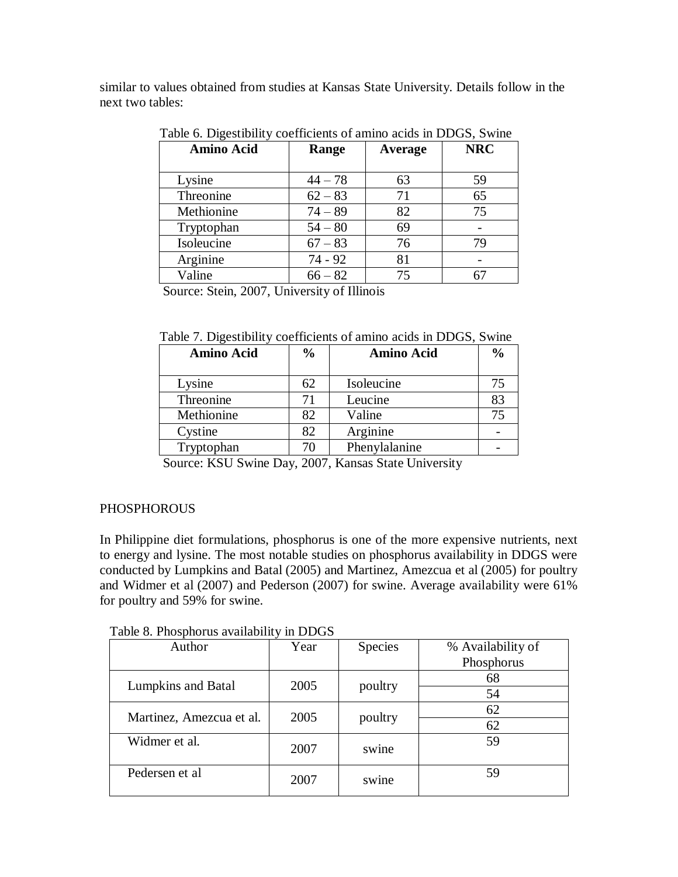similar to values obtained from studies at Kansas State University. Details follow in the next two tables:

| <b>Amino Acid</b> | Range     | Average | <b>NRC</b> |
|-------------------|-----------|---------|------------|
| Lysine            | $44 - 78$ | 63      | 59         |
| Threonine         | $62 - 83$ | 71      | 65         |
| Methionine        | $74 - 89$ | 82      | 75         |
| Tryptophan        | $54 - 80$ | 69      |            |
| Isoleucine        | $67 - 83$ | 76      | 79         |
| Arginine          | 74 - 92   | 81      |            |
| Valine            | $66 - 82$ | 75      |            |

Table 6. Digestibility coefficients of amino acids in DDGS, Swine

Source: Stein, 2007, University of Illinois

Table 7. Digestibility coefficients of amino acids in DDGS, Swine

| <b>Amino Acid</b> | $\frac{0}{0}$ | <b>Amino Acid</b> | $\frac{0}{0}$ |
|-------------------|---------------|-------------------|---------------|
| Lysine            | 62            | Isoleucine        | 75            |
| Threonine         | 71            | Leucine           | 83            |
| Methionine        | 82            | Valine            | 75            |
| Cystine           | 82            | Arginine          |               |
| Tryptophan        | 70            | Phenylalanine     |               |

Source: KSU Swine Day, 2007, Kansas State University

## **PHOSPHOROUS**

In Philippine diet formulations, phosphorus is one of the more expensive nutrients, next to energy and lysine. The most notable studies on phosphorus availability in DDGS were conducted by Lumpkins and Batal (2005) and Martinez, Amezcua et al (2005) for poultry and Widmer et al (2007) and Pederson (2007) for swine. Average availability were 61% for poultry and 59% for swine.

| Table 8. Phosphorus availability in DDGS |  |
|------------------------------------------|--|
|------------------------------------------|--|

| Author                    | Year | Species | % Availability of |
|---------------------------|------|---------|-------------------|
|                           |      |         | Phosphorus        |
| <b>Lumpkins and Batal</b> | 2005 |         | 68                |
|                           |      | poultry | 54                |
| Martinez, Amezcua et al.  | 2005 |         | 62                |
|                           |      | poultry | 62                |
| Widmer et al.             | 2007 | swine   | 59                |
|                           |      |         |                   |
| Pedersen et al            | 2007 | swine   | 59                |
|                           |      |         |                   |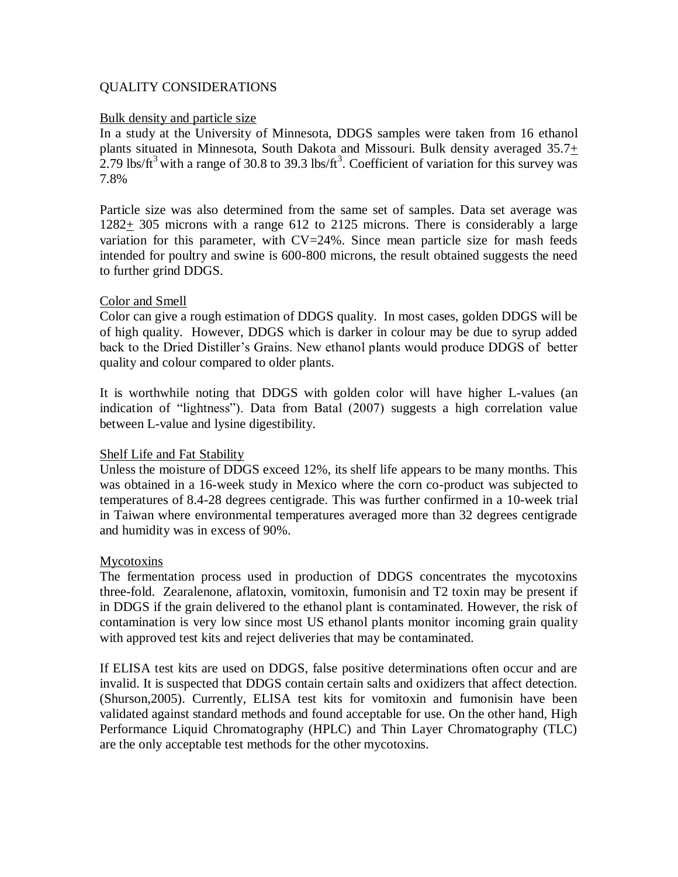#### QUALITY CONSIDERATIONS

#### Bulk density and particle size

In a study at the University of Minnesota, DDGS samples were taken from 16 ethanol plants situated in Minnesota, South Dakota and Missouri. Bulk density averaged 35.7+ 2.79 lbs/ $ft^3$  with a range of 30.8 to 39.3 lbs/ $ft^3$ . Coefficient of variation for this survey was 7.8%

Particle size was also determined from the same set of samples. Data set average was 1282+ 305 microns with a range 612 to 2125 microns. There is considerably a large variation for this parameter, with  $CV=24\%$ . Since mean particle size for mash feeds intended for poultry and swine is 600-800 microns, the result obtained suggests the need to further grind DDGS.

#### Color and Smell

Color can give a rough estimation of DDGS quality. In most cases, golden DDGS will be of high quality. However, DDGS which is darker in colour may be due to syrup added back to the Dried Distiller"s Grains. New ethanol plants would produce DDGS of better quality and colour compared to older plants.

It is worthwhile noting that DDGS with golden color will have higher L-values (an indication of "lightness"). Data from Batal (2007) suggests a high correlation value between L-value and lysine digestibility.

#### Shelf Life and Fat Stability

Unless the moisture of DDGS exceed 12%, its shelf life appears to be many months. This was obtained in a 16-week study in Mexico where the corn co-product was subjected to temperatures of 8.4-28 degrees centigrade. This was further confirmed in a 10-week trial in Taiwan where environmental temperatures averaged more than 32 degrees centigrade and humidity was in excess of 90%.

#### Mycotoxins

The fermentation process used in production of DDGS concentrates the mycotoxins three-fold. Zearalenone, aflatoxin, vomitoxin, fumonisin and T2 toxin may be present if in DDGS if the grain delivered to the ethanol plant is contaminated. However, the risk of contamination is very low since most US ethanol plants monitor incoming grain quality with approved test kits and reject deliveries that may be contaminated.

If ELISA test kits are used on DDGS, false positive determinations often occur and are invalid. It is suspected that DDGS contain certain salts and oxidizers that affect detection. (Shurson,2005). Currently, ELISA test kits for vomitoxin and fumonisin have been validated against standard methods and found acceptable for use. On the other hand, High Performance Liquid Chromatography (HPLC) and Thin Layer Chromatography (TLC) are the only acceptable test methods for the other mycotoxins.